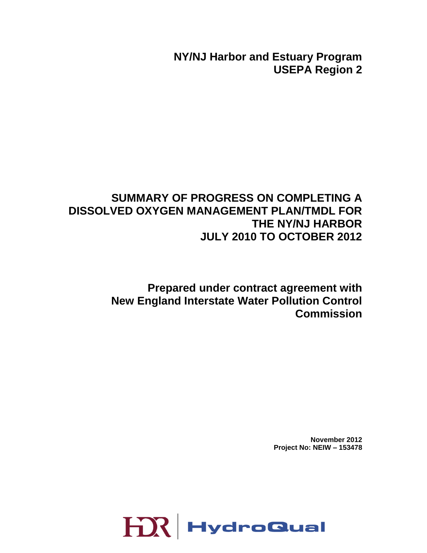**NY/NJ Harbor and Estuary Program USEPA Region 2**

# **SUMMARY OF PROGRESS ON COMPLETING A DISSOLVED OXYGEN MANAGEMENT PLAN/TMDL FOR THE NY/NJ HARBOR JULY 2010 TO OCTOBER 2012**

**Prepared under contract agreement with New England Interstate Water Pollution Control Commission**

> **November 2012 Project No: NEIW – 153478**

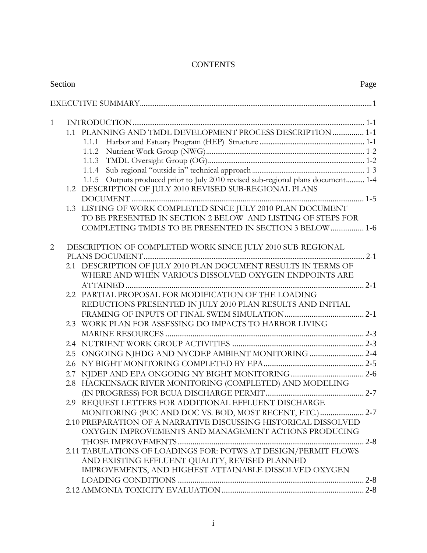## **CONTENTS**

| Section |     |                                                                                   | Page |
|---------|-----|-----------------------------------------------------------------------------------|------|
|         |     |                                                                                   |      |
| 1       |     |                                                                                   |      |
|         |     | 1.1 PLANNING AND TMDL DEVELOPMENT PROCESS DESCRIPTION  1-1                        |      |
|         |     |                                                                                   |      |
|         |     |                                                                                   |      |
|         |     | 1.1.3                                                                             |      |
|         |     |                                                                                   |      |
|         |     | 1.1.5 Outputs produced prior to July 2010 revised sub-regional plans document 1-4 |      |
|         |     | 1.2 DESCRIPTION OF JULY 2010 REVISED SUB-REGIONAL PLANS                           |      |
|         |     |                                                                                   |      |
|         |     | 1.3 LISTING OF WORK COMPLETED SINCE JULY 2010 PLAN DOCUMENT                       |      |
|         |     | TO BE PRESENTED IN SECTION 2 BELOW AND LISTING OF STEPS FOR                       |      |
|         |     | COMPLETING TMDLS TO BE PRESENTED IN SECTION 3 BELOW  1-6                          |      |
| 2       |     | DESCRIPTION OF COMPLETED WORK SINCE JULY 2010 SUB-REGIONAL                        |      |
|         |     |                                                                                   |      |
|         |     | 2.1 DESCRIPTION OF JULY 2010 PLAN DOCUMENT RESULTS IN TERMS OF                    |      |
|         |     | WHERE AND WHEN VARIOUS DISSOLVED OXYGEN ENDPOINTS ARE                             |      |
|         |     |                                                                                   |      |
|         | 2.2 | PARTIAL PROPOSAL FOR MODIFICATION OF THE LOADING                                  |      |
|         |     | REDUCTIONS PRESENTED IN JULY 2010 PLAN RESULTS AND INITIAL                        |      |
|         |     |                                                                                   |      |
|         |     | 2.3 WORK PLAN FOR ASSESSING DO IMPACTS TO HARBOR LIVING                           |      |
|         |     |                                                                                   |      |
|         |     |                                                                                   |      |
|         |     | 2.5 ONGOING NJHDG AND NYCDEP AMBIENT MONITORING  2-4                              |      |
|         |     |                                                                                   |      |
|         |     |                                                                                   |      |
|         |     | 2.8 HACKENSACK RIVER MONITORING (COMPLETED) AND MODELING                          |      |
|         |     |                                                                                   |      |
|         |     | 2.9 REQUEST LETTERS FOR ADDITIONAL EFFLUENT DISCHARGE                             |      |
|         |     | MONITORING (POC AND DOC VS. BOD, MOST RECENT, ETC.) 2-7                           |      |
|         |     | 2.10 PREPARATION OF A NARRATIVE DISCUSSING HISTORICAL DISSOLVED                   |      |
|         |     | OXYGEN IMPROVEMENTS AND MANAGEMENT ACTIONS PRODUCING                              |      |
|         |     |                                                                                   |      |
|         |     | 2.11 TABULATIONS OF LOADINGS FOR: POTWS AT DESIGN/PERMIT FLOWS                    |      |
|         |     | AND EXISTING EFFLUENT QUALITY, REVISED PLANNED                                    |      |
|         |     | IMPROVEMENTS, AND HIGHEST ATTAINABLE DISSOLVED OXYGEN                             |      |
|         |     |                                                                                   |      |
|         |     |                                                                                   |      |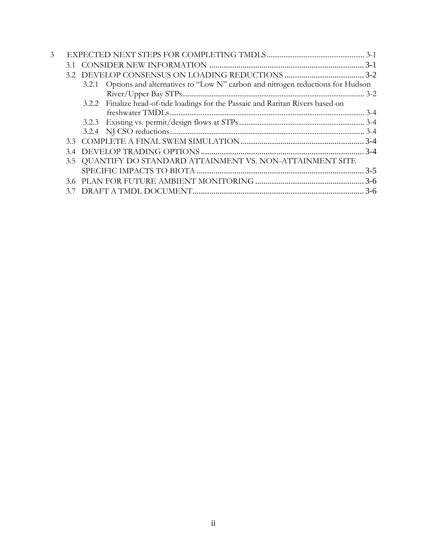| 3 |    |       |                                                                                  |         |
|---|----|-------|----------------------------------------------------------------------------------|---------|
|   | 31 |       |                                                                                  |         |
|   |    |       |                                                                                  |         |
|   |    | 3.2.1 | Options and alternatives to "Low N" carbon and nitrogen reductions for Hudson    |         |
|   |    |       |                                                                                  | $3 - 2$ |
|   |    |       | 3.2.2 Finalize head-of-tide loadings for the Passaic and Raritan Rivers based on |         |
|   |    |       |                                                                                  |         |
|   |    |       |                                                                                  |         |
|   |    |       |                                                                                  |         |
|   |    |       |                                                                                  |         |
|   |    |       |                                                                                  |         |
|   |    |       | 3.5 QUANTIFY DO STANDARD ATTAINMENT VS. NON-ATTAINMENT SITE                      |         |
|   |    |       |                                                                                  |         |
|   |    |       |                                                                                  |         |
|   | 37 |       |                                                                                  | $3 - 6$ |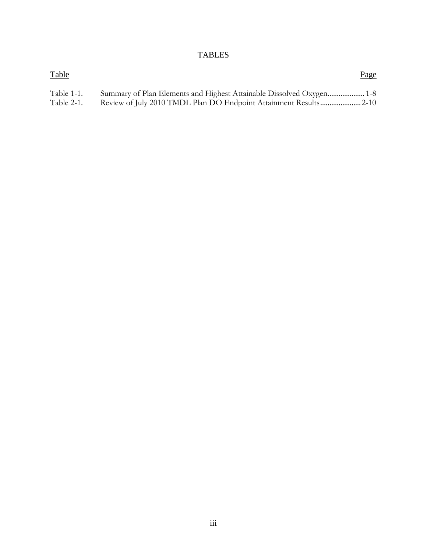## TABLES

| <b>Table</b> | Page |
|--------------|------|
| Table 1-1.   |      |
| Table 2-1.   |      |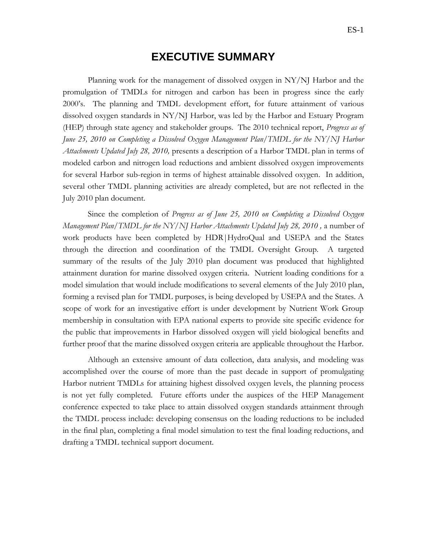## **EXECUTIVE SUMMARY**

<span id="page-4-0"></span>Planning work for the management of dissolved oxygen in NY/NJ Harbor and the promulgation of TMDLs for nitrogen and carbon has been in progress since the early 2000's. The planning and TMDL development effort, for future attainment of various dissolved oxygen standards in NY/NJ Harbor, was led by the Harbor and Estuary Program (HEP) through state agency and stakeholder groups. The 2010 technical report, *Progress as of June 25, 2010 on Completing a Dissolved Oxygen Management Plan/TMDL for the NY/NJ Harbor Attachments Updated July 28, 2010,* presents a description of a Harbor TMDL plan in terms of modeled carbon and nitrogen load reductions and ambient dissolved oxygen improvements for several Harbor sub-region in terms of highest attainable dissolved oxygen. In addition, several other TMDL planning activities are already completed, but are not reflected in the July 2010 plan document.

Since the completion of *Progress as of June 25, 2010 on Completing a Dissolved Oxygen Management Plan/TMDL for the NY/NJ Harbor Attachments Updated July 28, 2010*, a number of work products have been completed by HDR|HydroQual and USEPA and the States through the direction and coordination of the TMDL Oversight Group. A targeted summary of the results of the July 2010 plan document was produced that highlighted attainment duration for marine dissolved oxygen criteria. Nutrient loading conditions for a model simulation that would include modifications to several elements of the July 2010 plan, forming a revised plan for TMDL purposes, is being developed by USEPA and the States. A scope of work for an investigative effort is under development by Nutrient Work Group membership in consultation with EPA national experts to provide site specific evidence for the public that improvements in Harbor dissolved oxygen will yield biological benefits and further proof that the marine dissolved oxygen criteria are applicable throughout the Harbor.

Although an extensive amount of data collection, data analysis, and modeling was accomplished over the course of more than the past decade in support of promulgating Harbor nutrient TMDLs for attaining highest dissolved oxygen levels, the planning process is not yet fully completed. Future efforts under the auspices of the HEP Management conference expected to take place to attain dissolved oxygen standards attainment through the TMDL process include: developing consensus on the loading reductions to be included in the final plan, completing a final model simulation to test the final loading reductions, and drafting a TMDL technical support document.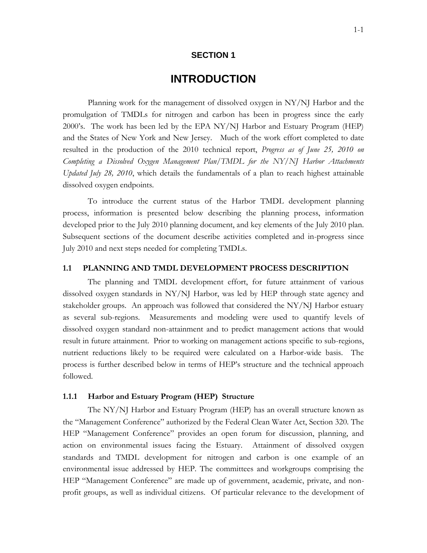### **SECTION 1**

# **1 INTRODUCTION**

<span id="page-5-0"></span>Planning work for the management of dissolved oxygen in NY/NJ Harbor and the promulgation of TMDLs for nitrogen and carbon has been in progress since the early 2000's. The work has been led by the EPA NY/NJ Harbor and Estuary Program (HEP) and the States of New York and New Jersey. Much of the work effort completed to date resulted in the production of the 2010 technical report, *Progress as of June 25, 2010 on Completing a Dissolved Oxygen Management Plan/TMDL for the NY/NJ Harbor Attachments Updated July 28, 2010*, which details the fundamentals of a plan to reach highest attainable dissolved oxygen endpoints.

To introduce the current status of the Harbor TMDL development planning process, information is presented below describing the planning process, information developed prior to the July 2010 planning document, and key elements of the July 2010 plan. Subsequent sections of the document describe activities completed and in-progress since July 2010 and next steps needed for completing TMDLs.

#### <span id="page-5-1"></span>**1.1 PLANNING AND TMDL DEVELOPMENT PROCESS DESCRIPTION**

The planning and TMDL development effort, for future attainment of various dissolved oxygen standards in NY/NJ Harbor, was led by HEP through state agency and stakeholder groups. An approach was followed that considered the NY/NJ Harbor estuary as several sub-regions. Measurements and modeling were used to quantify levels of dissolved oxygen standard non-attainment and to predict management actions that would result in future attainment. Prior to working on management actions specific to sub-regions, nutrient reductions likely to be required were calculated on a Harbor-wide basis. The process is further described below in terms of HEP's structure and the technical approach followed.

#### <span id="page-5-2"></span>**1.1.1 Harbor and Estuary Program (HEP) Structure**

The NY/NJ Harbor and Estuary Program (HEP) has an overall structure known as the "Management Conference" authorized by the Federal Clean Water Act, Section 320. The HEP "Management Conference" provides an open forum for discussion, planning, and action on environmental issues facing the Estuary. Attainment of dissolved oxygen standards and TMDL development for nitrogen and carbon is one example of an environmental issue addressed by HEP. The committees and workgroups comprising the HEP "Management Conference" are made up of government, academic, private, and nonprofit groups, as well as individual citizens. Of particular relevance to the development of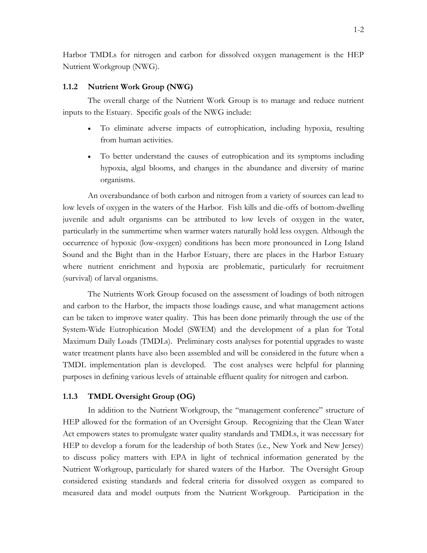Harbor TMDLs for nitrogen and carbon for dissolved oxygen management is the HEP Nutrient Workgroup (NWG).

#### <span id="page-6-0"></span>**1.1.2 Nutrient Work Group (NWG)**

The overall charge of the Nutrient Work Group is to manage and reduce nutrient inputs to the Estuary. Specific goals of the NWG include:

- To eliminate adverse impacts of eutrophication, including hypoxia, resulting from human activities.
- To better understand the causes of eutrophication and its symptoms including hypoxia, algal blooms, and changes in the abundance and diversity of marine organisms.

An overabundance of both carbon and nitrogen from a variety of sources can lead to low levels of oxygen in the waters of the Harbor. Fish kills and die-offs of bottom-dwelling juvenile and adult organisms can be attributed to low levels of oxygen in the water, particularly in the summertime when warmer waters naturally hold less oxygen. Although the occurrence of hypoxic (low-oxygen) conditions has been more pronounced in Long Island Sound and the Bight than in the Harbor Estuary, there are places in the Harbor Estuary where nutrient enrichment and hypoxia are problematic, particularly for recruitment (survival) of larval organisms.

The Nutrients Work Group focused on the assessment of loadings of both nitrogen and carbon to the Harbor, the impacts those loadings cause, and what management actions can be taken to improve water quality. This has been done primarily through the use of the System-Wide Eutrophication Model (SWEM) and the development of a plan for Total Maximum Daily Loads (TMDLs). Preliminary costs analyses for potential upgrades to waste water treatment plants have also been assembled and will be considered in the future when a TMDL implementation plan is developed. The cost analyses were helpful for planning purposes in defining various levels of attainable effluent quality for nitrogen and carbon.

#### <span id="page-6-1"></span>**1.1.3 TMDL Oversight Group (OG)**

In addition to the Nutrient Workgroup, the "management conference" structure of HEP allowed for the formation of an Oversight Group. Recognizing that the Clean Water Act empowers states to promulgate water quality standards and TMDLs, it was necessary for HEP to develop a forum for the leadership of both States (i.e., New York and New Jersey) to discuss policy matters with EPA in light of technical information generated by the Nutrient Workgroup, particularly for shared waters of the Harbor. The Oversight Group considered existing standards and federal criteria for dissolved oxygen as compared to measured data and model outputs from the Nutrient Workgroup. Participation in the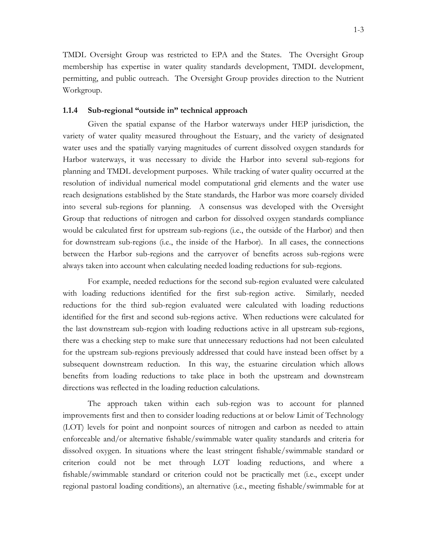TMDL Oversight Group was restricted to EPA and the States. The Oversight Group membership has expertise in water quality standards development, TMDL development, permitting, and public outreach. The Oversight Group provides direction to the Nutrient Workgroup.

#### <span id="page-7-0"></span>**1.1.4 Sub-regional "outside in" technical approach**

Given the spatial expanse of the Harbor waterways under HEP jurisdiction, the variety of water quality measured throughout the Estuary, and the variety of designated water uses and the spatially varying magnitudes of current dissolved oxygen standards for Harbor waterways, it was necessary to divide the Harbor into several sub-regions for planning and TMDL development purposes. While tracking of water quality occurred at the resolution of individual numerical model computational grid elements and the water use reach designations established by the State standards, the Harbor was more coarsely divided into several sub-regions for planning. A consensus was developed with the Oversight Group that reductions of nitrogen and carbon for dissolved oxygen standards compliance would be calculated first for upstream sub-regions (i.e., the outside of the Harbor) and then for downstream sub-regions (i.e., the inside of the Harbor). In all cases, the connections between the Harbor sub-regions and the carryover of benefits across sub-regions were always taken into account when calculating needed loading reductions for sub-regions.

For example, needed reductions for the second sub-region evaluated were calculated with loading reductions identified for the first sub-region active. Similarly, needed reductions for the third sub-region evaluated were calculated with loading reductions identified for the first and second sub-regions active. When reductions were calculated for the last downstream sub-region with loading reductions active in all upstream sub-regions, there was a checking step to make sure that unnecessary reductions had not been calculated for the upstream sub-regions previously addressed that could have instead been offset by a subsequent downstream reduction. In this way, the estuarine circulation which allows benefits from loading reductions to take place in both the upstream and downstream directions was reflected in the loading reduction calculations.

The approach taken within each sub-region was to account for planned improvements first and then to consider loading reductions at or below Limit of Technology (LOT) levels for point and nonpoint sources of nitrogen and carbon as needed to attain enforceable and/or alternative fishable/swimmable water quality standards and criteria for dissolved oxygen. In situations where the least stringent fishable/swimmable standard or criterion could not be met through LOT loading reductions, and where a fishable/swimmable standard or criterion could not be practically met (i.e., except under regional pastoral loading conditions), an alternative (i.e., meeting fishable/swimmable for at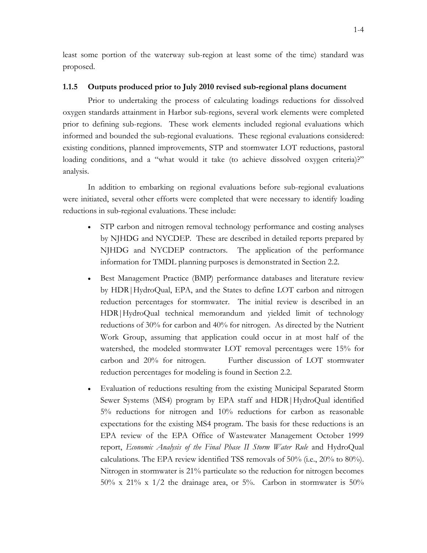least some portion of the waterway sub-region at least some of the time) standard was proposed.

### <span id="page-8-0"></span>**1.1.5 Outputs produced prior to July 2010 revised sub-regional plans document**

Prior to undertaking the process of calculating loadings reductions for dissolved oxygen standards attainment in Harbor sub-regions, several work elements were completed prior to defining sub-regions. These work elements included regional evaluations which informed and bounded the sub-regional evaluations. These regional evaluations considered: existing conditions, planned improvements, STP and stormwater LOT reductions, pastoral loading conditions, and a "what would it take (to achieve dissolved oxygen criteria)?" analysis.

In addition to embarking on regional evaluations before sub-regional evaluations were initiated, several other efforts were completed that were necessary to identify loading reductions in sub-regional evaluations. These include:

- STP carbon and nitrogen removal technology performance and costing analyses by NJHDG and NYCDEP. These are described in detailed reports prepared by NJHDG and NYCDEP contractors. The application of the performance information for TMDL planning purposes is demonstrated in Section 2.2.
- Best Management Practice (BMP) performance databases and literature review by HDR|HydroQual, EPA, and the States to define LOT carbon and nitrogen reduction percentages for stormwater. The initial review is described in an HDR|HydroQual technical memorandum and yielded limit of technology reductions of 30% for carbon and 40% for nitrogen. As directed by the Nutrient Work Group, assuming that application could occur in at most half of the watershed, the modeled stormwater LOT removal percentages were 15% for carbon and 20% for nitrogen. Further discussion of LOT stormwater reduction percentages for modeling is found in Section 2.2.
- Evaluation of reductions resulting from the existing Municipal Separated Storm Sewer Systems (MS4) program by EPA staff and HDR|HydroQual identified 5% reductions for nitrogen and 10% reductions for carbon as reasonable expectations for the existing MS4 program. The basis for these reductions is an EPA review of the EPA Office of Wastewater Management October 1999 report, *Economic Analysis of the Final Phase II Storm Water Rule* and HydroQual calculations. The EPA review identified TSS removals of 50% (i.e., 20% to 80%). Nitrogen in stormwater is 21% particulate so the reduction for nitrogen becomes  $50\%$  x  $21\%$  x  $1/2$  the drainage area, or  $5\%$ . Carbon in stormwater is  $50\%$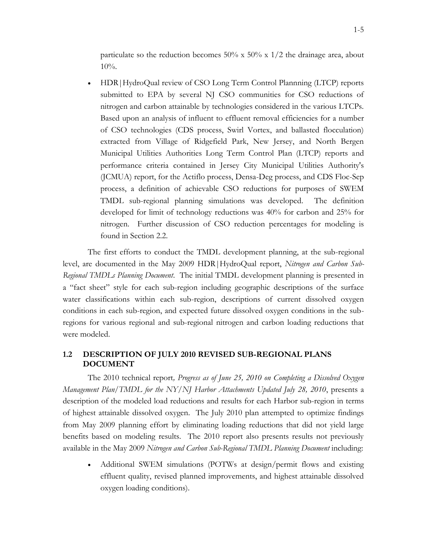particulate so the reduction becomes 50% x 50% x  $1/2$  the drainage area, about 10%.

• HDR | HydroQual review of CSO Long Term Control Plannning (LTCP) reports submitted to EPA by several NJ CSO communities for CSO reductions of nitrogen and carbon attainable by technologies considered in the various LTCPs. Based upon an analysis of influent to effluent removal efficiencies for a number of CSO technologies (CDS process, Swirl Vortex, and ballasted flocculation) extracted from Village of Ridgefield Park, New Jersey, and North Bergen Municipal Utilities Authorities Long Term Control Plan (LTCP) reports and performance criteria contained in Jersey City Municipal Utilities Authority's (JCMUA) report, for the Actiflo process, Densa-Deg process, and CDS Floc-Sep process, a definition of achievable CSO reductions for purposes of SWEM TMDL sub-regional planning simulations was developed. The definition developed for limit of technology reductions was 40% for carbon and 25% for nitrogen. Further discussion of CSO reduction percentages for modeling is found in Section 2.2.

The first efforts to conduct the TMDL development planning, at the sub-regional level, are documented in the May 2009 HDR|HydroQual report, *Nitrogen and Carbon Sub-Regional TMDLs Planning Document*. The initial TMDL development planning is presented in a "fact sheet" style for each sub-region including geographic descriptions of the surface water classifications within each sub-region, descriptions of current dissolved oxygen conditions in each sub-region, and expected future dissolved oxygen conditions in the subregions for various regional and sub-regional nitrogen and carbon loading reductions that were modeled.

## <span id="page-9-0"></span>**1.2 DESCRIPTION OF JULY 2010 REVISED SUB-REGIONAL PLANS DOCUMENT**

The 2010 technical report*, Progress as of June 25, 2010 on Completing a Dissolved Oxygen Management Plan/TMDL for the NY/NJ Harbor Attachments Updated July 28, 2010*, presents a description of the modeled load reductions and results for each Harbor sub-region in terms of highest attainable dissolved oxygen. The July 2010 plan attempted to optimize findings from May 2009 planning effort by eliminating loading reductions that did not yield large benefits based on modeling results. The 2010 report also presents results not previously available in the May 2009 *Nitrogen and Carbon Sub-Regional TMDL Planning Document* including:

 Additional SWEM simulations (POTWs at design/permit flows and existing effluent quality, revised planned improvements, and highest attainable dissolved oxygen loading conditions).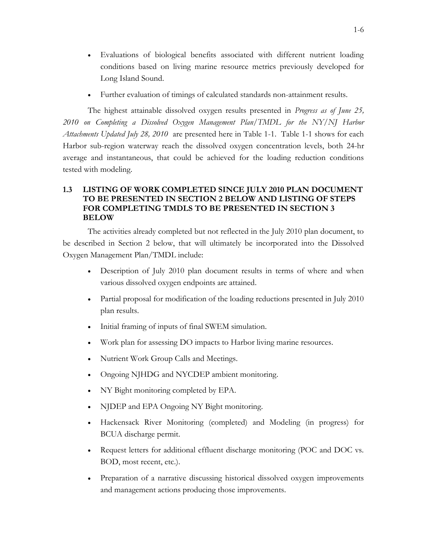- Evaluations of biological benefits associated with different nutrient loading conditions based on living marine resource metrics previously developed for Long Island Sound.
- Further evaluation of timings of calculated standards non-attainment results.

The highest attainable dissolved oxygen results presented in *Progress as of June 25, 2010 on Completing a Dissolved Oxygen Management Plan/TMDL for the NY/NJ Harbor Attachments Updated July 28, 2010* are presented here in Table 1-1. Table 1-1 shows for each Harbor sub-region waterway reach the dissolved oxygen concentration levels, both 24-hr average and instantaneous, that could be achieved for the loading reduction conditions tested with modeling.

## <span id="page-10-0"></span>**1.3 LISTING OF WORK COMPLETED SINCE JULY 2010 PLAN DOCUMENT TO BE PRESENTED IN SECTION 2 BELOW AND LISTING OF STEPS FOR COMPLETING TMDLS TO BE PRESENTED IN SECTION 3 BELOW**

The activities already completed but not reflected in the July 2010 plan document, to be described in Section 2 below, that will ultimately be incorporated into the Dissolved Oxygen Management Plan/TMDL include:

- Description of July 2010 plan document results in terms of where and when various dissolved oxygen endpoints are attained.
- Partial proposal for modification of the loading reductions presented in July 2010 plan results.
- Initial framing of inputs of final SWEM simulation.
- Work plan for assessing DO impacts to Harbor living marine resources.
- Nutrient Work Group Calls and Meetings.
- Ongoing NJHDG and NYCDEP ambient monitoring.
- NY Bight monitoring completed by EPA.
- NJDEP and EPA Ongoing NY Bight monitoring.
- Hackensack River Monitoring (completed) and Modeling (in progress) for BCUA discharge permit.
- Request letters for additional effluent discharge monitoring (POC and DOC vs. BOD, most recent, etc.).
- Preparation of a narrative discussing historical dissolved oxygen improvements and management actions producing those improvements.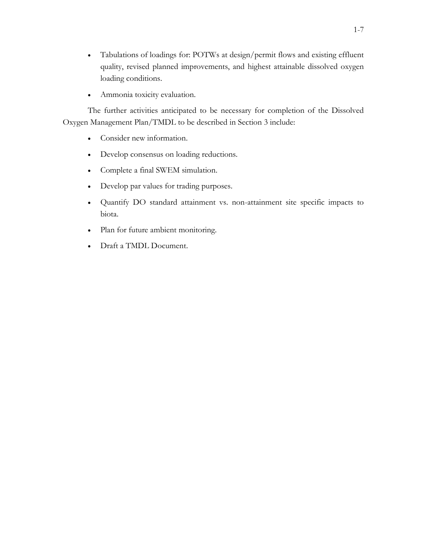- Tabulations of loadings for: POTWs at design/permit flows and existing effluent quality, revised planned improvements, and highest attainable dissolved oxygen loading conditions.
- Ammonia toxicity evaluation.

The further activities anticipated to be necessary for completion of the Dissolved Oxygen Management Plan/TMDL to be described in Section 3 include:

- Consider new information.
- Develop consensus on loading reductions.
- Complete a final SWEM simulation.
- Develop par values for trading purposes.
- Quantify DO standard attainment vs. non-attainment site specific impacts to biota.
- Plan for future ambient monitoring.
- Draft a TMDL Document.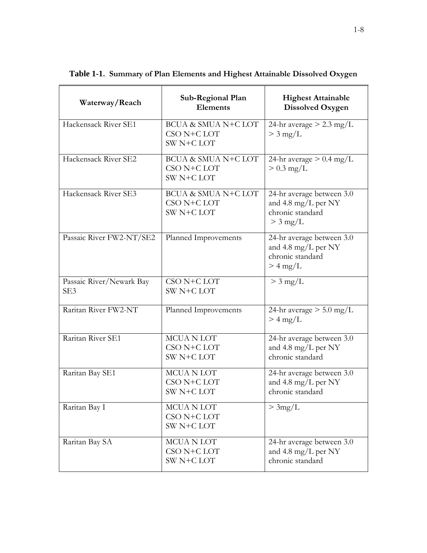| Waterway/Reach                              | Sub-Regional Plan<br><b>Elements</b>             | <b>Highest Attainable</b><br><b>Dissolved Oxygen</b>                               |
|---------------------------------------------|--------------------------------------------------|------------------------------------------------------------------------------------|
| Hackensack River SE1                        | BCUA & SMUA N+C LOT<br>CSO N+C LOT<br>SW N+C LOT | 24-hr average $> 2.3$ mg/L<br>$>$ 3 mg/L                                           |
| Hackensack River SE2                        | BCUA & SMUA N+C LOT<br>CSO N+C LOT<br>SW N+C LOT | 24-hr average $> 0.4$ mg/L<br>$> 0.3$ mg/L                                         |
| Hackensack River SE3                        | BCUA & SMUA N+C LOT<br>CSO N+C LOT<br>SW N+C LOT | 24-hr average between 3.0<br>and 4.8 mg/L per NY<br>chronic standard<br>$>$ 3 mg/L |
| Passaic River FW2-NT/SE2                    | Planned Improvements                             | 24-hr average between 3.0<br>and 4.8 mg/L per NY<br>chronic standard<br>$> 4$ mg/L |
| Passaic River/Newark Bay<br>SE <sub>3</sub> | CSO N+C LOT<br>SW N+C LOT                        | $>$ 3 mg/L                                                                         |
| Raritan River FW2-NT                        | Planned Improvements                             | 24-hr average $> 5.0$ mg/L<br>$>$ 4 mg/L                                           |
| Raritan River SE1                           | MCUA N LOT<br>CSO N+C LOT<br>SW N+C LOT          | 24-hr average between 3.0<br>and 4.8 mg/L per NY<br>chronic standard               |
| Raritan Bay SE1                             | MCUA N LOT<br>CSO N+C LOT<br>SW N+C LOT          | 24-hr average between 3.0<br>and 4.8 mg/L per NY<br>chronic standard               |
| Raritan Bay I                               | MCUA N LOT<br>CSO N+C LOT<br>SW N+C LOT          | >3mg/L                                                                             |
| Raritan Bay SA                              | MCUA N LOT<br>CSO N+C LOT<br>SW N+C LOT          | 24-hr average between 3.0<br>and 4.8 mg/L per NY<br>chronic standard               |

<span id="page-12-0"></span>**Table 1-1. Summary of Plan Elements and Highest Attainable Dissolved Oxygen**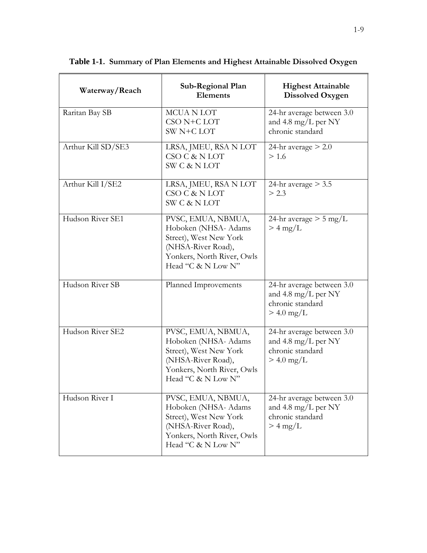| Waterway/Reach     | Sub-Regional Plan<br><b>Elements</b>                                                                                                           | <b>Highest Attainable</b><br><b>Dissolved Oxygen</b>                                 |
|--------------------|------------------------------------------------------------------------------------------------------------------------------------------------|--------------------------------------------------------------------------------------|
| Raritan Bay SB     | <b>MCUANLOT</b><br>CSO N+C LOT<br>SW N+C LOT                                                                                                   | 24-hr average between 3.0<br>and 4.8 mg/L per NY<br>chronic standard                 |
| Arthur Kill SD/SE3 | LRSA, JMEU, RSA N LOT<br>CSO C & N LOT<br><b>SW C &amp; N LOT</b>                                                                              | 24-hr average $> 2.0$<br>> 1.6                                                       |
| Arthur Kill I/SE2  | LRSA, JMEU, RSA N LOT<br>CSO C & N LOT<br><b>SW C &amp; N LOT</b>                                                                              | 24-hr average $>$ 3.5<br>> 2.3                                                       |
| Hudson River SE1   | PVSC, EMUA, NBMUA,<br>Hoboken (NHSA- Adams<br>Street), West New York<br>(NHSA-River Road),<br>Yonkers, North River, Owls<br>Head "C & N Low N" | 24-hr average $> 5$ mg/L<br>$>$ 4 mg/L                                               |
| Hudson River SB    | Planned Improvements                                                                                                                           | 24-hr average between 3.0<br>and 4.8 mg/L per NY<br>chronic standard<br>$> 4.0$ mg/L |
| Hudson River SE2   | PVSC, EMUA, NBMUA,<br>Hoboken (NHSA- Adams<br>Street), West New York<br>(NHSA-River Road),<br>Yonkers, North River, Owls<br>Head "C & N Low N" | 24-hr average between 3.0<br>and 4.8 mg/L per NY<br>chronic standard<br>$> 4.0$ mg/L |
| Hudson River I     | PVSC, EMUA, NBMUA,<br>Hoboken (NHSA- Adams<br>Street), West New York<br>(NHSA-River Road),<br>Yonkers, North River, Owls<br>Head "C & N Low N" | 24-hr average between 3.0<br>and 4.8 mg/L per NY<br>chronic standard<br>$>$ 4 mg/L   |

**Table 1-1. Summary of Plan Elements and Highest Attainable Dissolved Oxygen**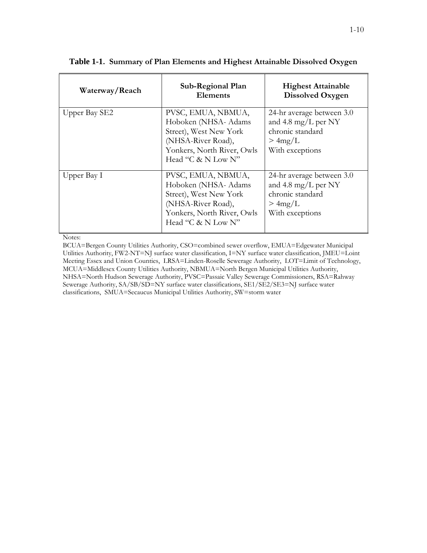| Waterway/Reach | Sub-Regional Plan<br><b>Elements</b>                                                                                                           | <b>Highest Attainable</b><br>Dissolved Oxygen                                                     |
|----------------|------------------------------------------------------------------------------------------------------------------------------------------------|---------------------------------------------------------------------------------------------------|
| Upper Bay SE2  | PVSC, EMUA, NBMUA,<br>Hoboken (NHSA- Adams<br>Street), West New York<br>(NHSA-River Road),<br>Yonkers, North River, Owls<br>Head "C & N Low N" | 24-hr average between 3.0<br>and 4.8 mg/L per NY<br>chronic standard<br>>4mg/L<br>With exceptions |
| Upper Bay I    | PVSC, EMUA, NBMUA,<br>Hoboken (NHSA- Adams<br>Street), West New York<br>(NHSA-River Road),<br>Yonkers, North River, Owls<br>Head "C & N Low N" | 24-hr average between 3.0<br>and 4.8 mg/L per NY<br>chronic standard<br>>4mg/L<br>With exceptions |

### **Table 1-1. Summary of Plan Elements and Highest Attainable Dissolved Oxygen**

Notes:

BCUA=Bergen County Utilities Authority, CSO=combined sewer overflow, EMUA=Edgewater Municipal Utilities Authority, FW2-NT=NJ surface water classification, I=NY surface water classification, JMEU=Loint Meeting Essex and Union Counties, LRSA=Linden-Roselle Sewerage Authority, LOT=Limit of Technology, MCUA=Middlesex County Utilities Authority, NBMUA=North Bergen Municipal Utilities Authority, NHSA=North Hudson Sewerage Authority, PVSC=Passaic Valley Sewerage Commissioners, RSA=Rahway Sewerage Authority, SA/SB/SD=NY surface water classifications, SE1/SE2/SE3=NJ surface water classifications, SMUA=Secaucus Municipal Utilities Authority, SW=storm water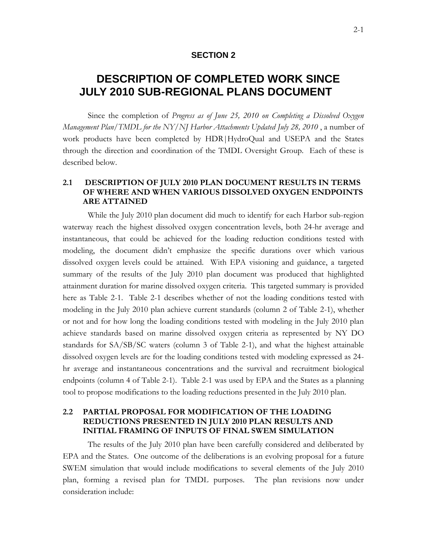## **SECTION 2**

# <span id="page-15-0"></span>**2 DESCRIPTION OF COMPLETED WORK SINCE JULY 2010 SUB-REGIONAL PLANS DOCUMENT**

Since the completion of *Progress as of June 25, 2010 on Completing a Dissolved Oxygen Management Plan/TMDL for the NY/NJ Harbor Attachments Updated July 28, 2010* , a number of work products have been completed by HDR|HydroQual and USEPA and the States through the direction and coordination of the TMDL Oversight Group. Each of these is described below.

## <span id="page-15-1"></span>**2.1 DESCRIPTION OF JULY 2010 PLAN DOCUMENT RESULTS IN TERMS OF WHERE AND WHEN VARIOUS DISSOLVED OXYGEN ENDPOINTS ARE ATTAINED**

While the July 2010 plan document did much to identify for each Harbor sub-region waterway reach the highest dissolved oxygen concentration levels, both 24-hr average and instantaneous, that could be achieved for the loading reduction conditions tested with modeling, the document didn't emphasize the specific durations over which various dissolved oxygen levels could be attained. With EPA visioning and guidance, a targeted summary of the results of the July 2010 plan document was produced that highlighted attainment duration for marine dissolved oxygen criteria. This targeted summary is provided here as Table 2-1. Table 2-1 describes whether of not the loading conditions tested with modeling in the July 2010 plan achieve current standards (column 2 of Table 2-1), whether or not and for how long the loading conditions tested with modeling in the July 2010 plan achieve standards based on marine dissolved oxygen criteria as represented by NY DO standards for SA/SB/SC waters (column 3 of Table 2-1), and what the highest attainable dissolved oxygen levels are for the loading conditions tested with modeling expressed as 24 hr average and instantaneous concentrations and the survival and recruitment biological endpoints (column 4 of Table 2-1). Table 2-1 was used by EPA and the States as a planning tool to propose modifications to the loading reductions presented in the July 2010 plan.

## <span id="page-15-2"></span>**2.2 PARTIAL PROPOSAL FOR MODIFICATION OF THE LOADING REDUCTIONS PRESENTED IN JULY 2010 PLAN RESULTS AND INITIAL FRAMING OF INPUTS OF FINAL SWEM SIMULATION**

The results of the July 2010 plan have been carefully considered and deliberated by EPA and the States. One outcome of the deliberations is an evolving proposal for a future SWEM simulation that would include modifications to several elements of the July 2010 plan, forming a revised plan for TMDL purposes. The plan revisions now under consideration include: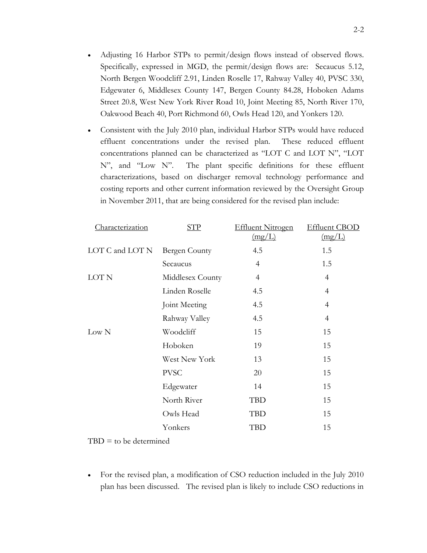- Adjusting 16 Harbor STPs to permit/design flows instead of observed flows. Specifically, expressed in MGD, the permit/design flows are: Secaucus 5.12, North Bergen Woodcliff 2.91, Linden Roselle 17, Rahway Valley 40, PVSC 330, Edgewater 6, Middlesex County 147, Bergen County 84.28, Hoboken Adams Street 20.8, West New York River Road 10, Joint Meeting 85, North River 170, Oakwood Beach 40, Port Richmond 60, Owls Head 120, and Yonkers 120.
- Consistent with the July 2010 plan, individual Harbor STPs would have reduced effluent concentrations under the revised plan. These reduced effluent concentrations planned can be characterized as "LOT C and LOT N", "LOT N", and "Low N". The plant specific definitions for these effluent characterizations, based on discharger removal technology performance and costing reports and other current information reviewed by the Oversight Group in November 2011, that are being considered for the revised plan include:

| Characterization | <b>STP</b>       | <b>Effluent Nitrogen</b> | <b>Effluent CBOD</b> |
|------------------|------------------|--------------------------|----------------------|
|                  |                  | (mg/L)                   | (mg/L)               |
| LOT C and LOT N  | Bergen County    | 4.5                      | 1.5                  |
|                  | Secaucus         | 4                        | 1.5                  |
| LOT N            | Middlesex County | $\overline{4}$           | 4                    |
|                  | Linden Roselle   | 4.5                      | 4                    |
|                  | Joint Meeting    | 4.5                      | 4                    |
|                  | Rahway Valley    | 4.5                      | $\overline{4}$       |
| Low N            | Woodcliff        | 15                       | 15                   |
|                  | Hoboken          | 19                       | 15                   |
|                  | West New York    | 13                       | 15                   |
|                  | <b>PVSC</b>      | 20                       | 15                   |
|                  | Edgewater        | 14                       | 15                   |
|                  | North River      | TBD                      | 15                   |
|                  | Owls Head        | <b>TBD</b>               | 15                   |
|                  | Yonkers          | <b>TBD</b>               | 15                   |

 $TBD =$  to be determined

 For the revised plan, a modification of CSO reduction included in the July 2010 plan has been discussed. The revised plan is likely to include CSO reductions in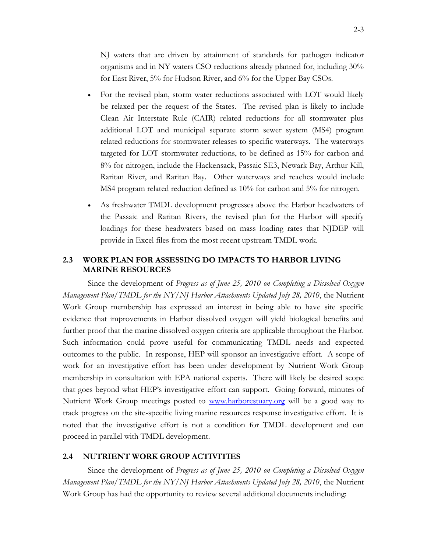NJ waters that are driven by attainment of standards for pathogen indicator organisms and in NY waters CSO reductions already planned for, including 30% for East River, 5% for Hudson River, and 6% for the Upper Bay CSOs.

- For the revised plan, storm water reductions associated with LOT would likely be relaxed per the request of the States. The revised plan is likely to include Clean Air Interstate Rule (CAIR) related reductions for all stormwater plus additional LOT and municipal separate storm sewer system (MS4) program related reductions for stormwater releases to specific waterways. The waterways targeted for LOT stormwater reductions, to be defined as 15% for carbon and 8% for nitrogen, include the Hackensack, Passaic SE3, Newark Bay, Arthur Kill, Raritan River, and Raritan Bay. Other waterways and reaches would include MS4 program related reduction defined as 10% for carbon and 5% for nitrogen.
- As freshwater TMDL development progresses above the Harbor headwaters of the Passaic and Raritan Rivers, the revised plan for the Harbor will specify loadings for these headwaters based on mass loading rates that NJDEP will provide in Excel files from the most recent upstream TMDL work.

## <span id="page-17-0"></span>**2.3 WORK PLAN FOR ASSESSING DO IMPACTS TO HARBOR LIVING MARINE RESOURCES**

Since the development of *Progress as of June 25, 2010 on Completing a Dissolved Oxygen Management Plan/TMDL for the NY/NJ Harbor Attachments Updated July 28, 2010*, the Nutrient Work Group membership has expressed an interest in being able to have site specific evidence that improvements in Harbor dissolved oxygen will yield biological benefits and further proof that the marine dissolved oxygen criteria are applicable throughout the Harbor. Such information could prove useful for communicating TMDL needs and expected outcomes to the public. In response, HEP will sponsor an investigative effort. A scope of work for an investigative effort has been under development by Nutrient Work Group membership in consultation with EPA national experts. There will likely be desired scope that goes beyond what HEP's investigative effort can support. Going forward, minutes of Nutrient Work Group meetings posted to [www.harborestuary.org](http://www.harborestuary.org/) will be a good way to track progress on the site-specific living marine resources response investigative effort. It is noted that the investigative effort is not a condition for TMDL development and can proceed in parallel with TMDL development.

## <span id="page-17-1"></span>**2.4 NUTRIENT WORK GROUP ACTIVITIES**

Since the development of *Progress as of June 25, 2010 on Completing a Dissolved Oxygen Management Plan/TMDL for the NY/NJ Harbor Attachments Updated July 28, 2010*, the Nutrient Work Group has had the opportunity to review several additional documents including: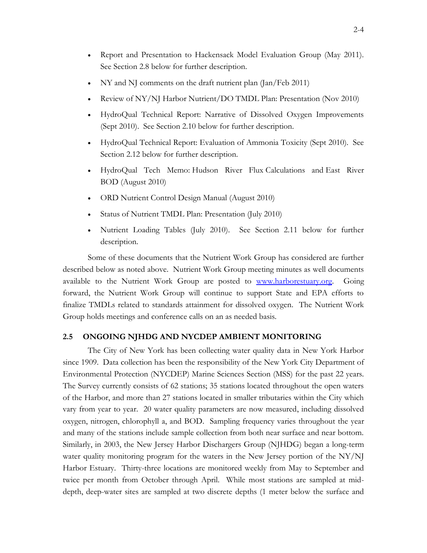- Report and Presentation to Hackensack Model Evaluation Group (May 2011). See Section 2.8 below for further description.
- NY and NJ comments on the draft nutrient plan (Jan/Feb 2011)
- Review of NY/NJ Harbor Nutrient/DO TMDL Plan: Presentation (Nov 2010)
- HydroQual Technical Report: Narrative of Dissolved Oxygen Improvements (Sept 2010). See Section 2.10 below for further description.
- HydroQual Technical Report: Evaluation of Ammonia Toxicity (Sept 2010). See Section 2.12 below for further description.
- HydroQual Tech Memo: Hudson River Flux Calculations and East River BOD (August 2010)
- ORD Nutrient Control Design Manual (August 2010)
- Status of Nutrient TMDL Plan: Presentation (July 2010)
- Nutrient Loading Tables (July 2010). See Section 2.11 below for further description.

Some of these documents that the Nutrient Work Group has considered are further described below as noted above. Nutrient Work Group meeting minutes as well documents available to the Nutrient Work Group are posted to [www.harborestuary.org.](http://www.harborestuary.org/) Going forward, the Nutrient Work Group will continue to support State and EPA efforts to finalize TMDLs related to standards attainment for dissolved oxygen. The Nutrient Work Group holds meetings and conference calls on an as needed basis.

#### <span id="page-18-0"></span>**2.5 ONGOING NJHDG AND NYCDEP AMBIENT MONITORING**

The City of New York has been collecting water quality data in New York Harbor since 1909. Data collection has been the responsibility of the New York City Department of Environmental Protection (NYCDEP) Marine Sciences Section (MSS) for the past 22 years. The Survey currently consists of 62 stations; 35 stations located throughout the open waters of the Harbor, and more than 27 stations located in smaller tributaries within the City which vary from year to year. 20 water quality parameters are now measured, including dissolved oxygen, nitrogen, chlorophyll a, and BOD. Sampling frequency varies throughout the year and many of the stations include sample collection from both near surface and near bottom. Similarly, in 2003, the New Jersey Harbor Dischargers Group (NJHDG) began a long-term water quality monitoring program for the waters in the New Jersey portion of the NY/NJ Harbor Estuary. Thirty-three locations are monitored weekly from May to September and twice per month from October through April. While most stations are sampled at middepth, deep-water sites are sampled at two discrete depths (1 meter below the surface and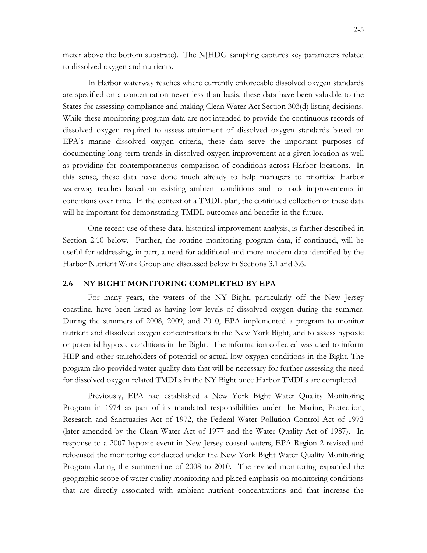meter above the bottom substrate). The NJHDG sampling captures key parameters related to dissolved oxygen and nutrients.

In Harbor waterway reaches where currently enforceable dissolved oxygen standards are specified on a concentration never less than basis, these data have been valuable to the States for assessing compliance and making Clean Water Act Section 303(d) listing decisions. While these monitoring program data are not intended to provide the continuous records of dissolved oxygen required to assess attainment of dissolved oxygen standards based on EPA's marine dissolved oxygen criteria, these data serve the important purposes of documenting long-term trends in dissolved oxygen improvement at a given location as well as providing for contemporaneous comparison of conditions across Harbor locations. In this sense, these data have done much already to help managers to prioritize Harbor waterway reaches based on existing ambient conditions and to track improvements in conditions over time. In the context of a TMDL plan, the continued collection of these data will be important for demonstrating TMDL outcomes and benefits in the future.

One recent use of these data, historical improvement analysis, is further described in Section 2.10 below. Further, the routine monitoring program data, if continued, will be useful for addressing, in part, a need for additional and more modern data identified by the Harbor Nutrient Work Group and discussed below in Sections 3.1 and 3.6.

## <span id="page-19-0"></span>**2.6 NY BIGHT MONITORING COMPLETED BY EPA**

For many years, the waters of the NY Bight, particularly off the New Jersey coastline, have been listed as having low levels of dissolved oxygen during the summer. During the summers of 2008, 2009, and 2010, EPA implemented a program to monitor nutrient and dissolved oxygen concentrations in the New York Bight, and to assess hypoxic or potential hypoxic conditions in the Bight. The information collected was used to inform HEP and other stakeholders of potential or actual low oxygen conditions in the Bight. The program also provided water quality data that will be necessary for further assessing the need for dissolved oxygen related TMDLs in the NY Bight once Harbor TMDLs are completed.

Previously, EPA had established a New York Bight Water Quality Monitoring Program in 1974 as part of its mandated responsibilities under the Marine, Protection, Research and Sanctuaries Act of 1972, the Federal Water Pollution Control Act of 1972 (later amended by the Clean Water Act of 1977 and the Water Quality Act of 1987). In response to a 2007 hypoxic event in New Jersey coastal waters, EPA Region 2 revised and refocused the monitoring conducted under the New York Bight Water Quality Monitoring Program during the summertime of 2008 to 2010. The revised monitoring expanded the geographic scope of water quality monitoring and placed emphasis on monitoring conditions that are directly associated with ambient nutrient concentrations and that increase the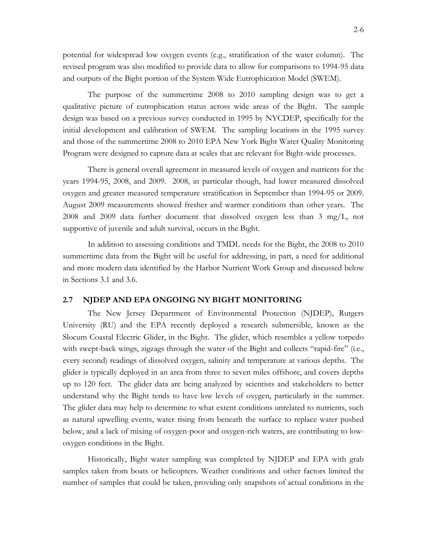potential for widespread low oxygen events (e.g., stratification of the water column). The revised program was also modified to provide data to allow for comparisons to 1994-95 data and outputs of the Bight portion of the System Wide Eutrophication Model (SWEM).

The purpose of the summertime 2008 to 2010 sampling design was to get a qualitative picture of eutrophication status across wide areas of the Bight. The sample design was based on a previous survey conducted in 1995 by NYCDEP, specifically for the initial development and calibration of SWEM. The sampling locations in the 1995 survey and those of the summertime 2008 to 2010 EPA New York Bight Water Quality Monitoring Program were designed to capture data at scales that are relevant for Bight-wide processes.

There is general overall agreement in measured levels of oxygen and nutrients for the years 1994-95, 2008, and 2009. 2008, in particular though, had lower measured dissolved oxygen and greater measured temperature stratification in September than 1994-95 or 2009. August 2009 measurements showed fresher and warmer conditions than other years. The 2008 and 2009 data further document that dissolved oxygen less than 3 mg/L, not supportive of juvenile and adult survival, occurs in the Bight.

In addition to assessing conditions and TMDL needs for the Bight, the 2008 to 2010 summertime data from the Bight will be useful for addressing, in part, a need for additional and more modern data identified by the Harbor Nutrient Work Group and discussed below in Sections 3.1 and 3.6.

#### <span id="page-20-0"></span>**2.7 NJDEP AND EPA ONGOING NY BIGHT MONITORING**

The New Jersey Department of Environmental Protection (NJDEP), Rutgers University (RU) and the EPA recently deployed a research submersible, known as the Slocum Coastal Electric Glider, in the Bight.The glider, which resembles a yellow torpedo with swept-back wings, zigzags through the water of the Bight and collects "rapid-fire" (i.e., every second) readings of dissolved oxygen, salinity and temperature at various depths. The glider is typically deployed in an area from three to seven miles offshore, and covers depths up to 120 feet. The glider data are being analyzed by scientists and stakeholders to better understand why the Bight tends to have low levels of oxygen, particularly in the summer. The glider data may help to determine to what extent conditions unrelated to nutrients, such as natural upwelling events, water rising from beneath the surface to replace water pushed below, and a lack of mixing of oxygen-poor and oxygen-rich waters, are contributing to lowoxygen conditions in the Bight.

Historically, Bight water sampling was completed by NJDEP and EPA with grab samples taken from boats or helicopters. Weather conditions and other factors limited the number of samples that could be taken, providing only snapshots of actual conditions in the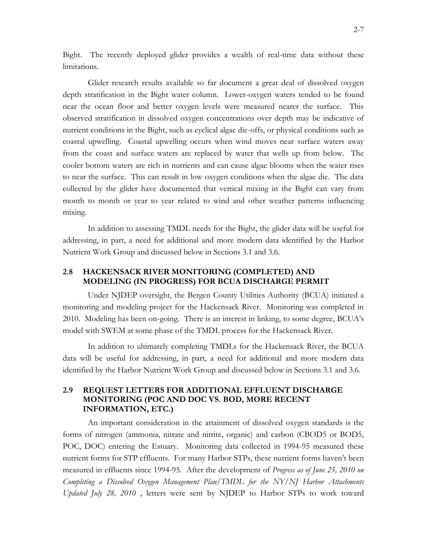Bight. The recently deployed glider provides a wealth of real-time data without these limitations.

Glider research results available so far document a great deal of dissolved oxygen depth stratification in the Bight water column. Lower-oxygen waters tended to be found near the ocean floor and better oxygen levels were measured nearer the surface. This observed stratification in dissolved oxygen concentrations over depth may be indicative of nutrient conditions in the Bight, such as cyclical algae die-offs, or physical conditions such as coastal upwelling. Coastal upwelling occurs when wind moves near surface waters away from the coast and surface waters are replaced by water that wells up from below. The cooler bottom waters are rich in nutrients and can cause algae blooms when the water rises to near the surface. This can result in low oxygen conditions when the algae die. The data collected by the glider have documented that vertical mixing in the Bight can vary from month to month or year to year related to wind and other weather patterns influencing mixing.

In addition to assessing TMDL needs for the Bight, the glider data will be useful for addressing, in part, a need for additional and more modern data identified by the Harbor Nutrient Work Group and discussed below in Sections 3.1 and 3.6.

### <span id="page-21-0"></span>**2.8 HACKENSACK RIVER MONITORING (COMPLETED) AND MODELING (IN PROGRESS) FOR BCUA DISCHARGE PERMIT**

Under NJDEP oversight, the Bergen County Utilities Authority (BCUA) initiated a monitoring and modeling project for the Hackensack River. Monitoring was completed in 2010. Modeling has been on-going. There is an interest in linking, to some degree, BCUA's model with SWEM at some phase of the TMDL process for the Hackensack River.

In addition to ultimately completing TMDLs for the Hackensack River, the BCUA data will be useful for addressing, in part, a need for additional and more modern data identified by the Harbor Nutrient Work Group and discussed below in Sections 3.1 and 3.6.

## <span id="page-21-1"></span>**2.9 REQUEST LETTERS FOR ADDITIONAL EFFLUENT DISCHARGE MONITORING (POC AND DOC VS. BOD, MORE RECENT INFORMATION, ETC.)**

An important consideration in the attainment of dissolved oxygen standards is the forms of nitrogen (ammonia, nitrate and nitrite, organic) and carbon (CBOD5 or BOD5, POC, DOC) entering the Estuary. Monitoring data collected in 1994-95 measured these nutrient forms for STP effluents. For many Harbor STPs, these nutrient forms haven't been measured in effluents since 1994-95. After the development of *Progress as of June 25, 2010 on Completing a Dissolved Oxygen Management Plan/TMDL for the NY/NJ Harbor Attachments Updated July 28, 2010* , letters were sent by NJDEP to Harbor STPs to work toward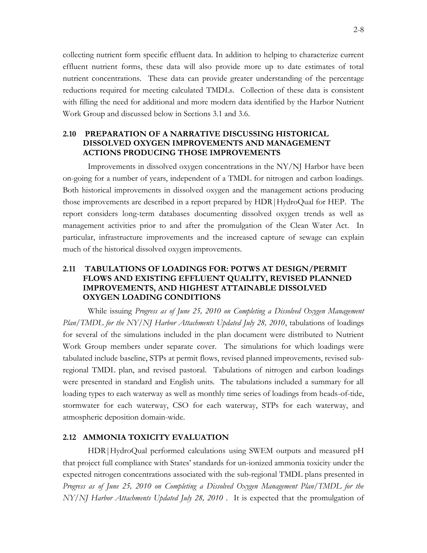collecting nutrient form specific effluent data. In addition to helping to characterize current effluent nutrient forms, these data will also provide more up to date estimates of total nutrient concentrations. These data can provide greater understanding of the percentage reductions required for meeting calculated TMDLs. Collection of these data is consistent with filling the need for additional and more modern data identified by the Harbor Nutrient Work Group and discussed below in Sections 3.1 and 3.6.

## <span id="page-22-0"></span>**2.10 PREPARATION OF A NARRATIVE DISCUSSING HISTORICAL DISSOLVED OXYGEN IMPROVEMENTS AND MANAGEMENT ACTIONS PRODUCING THOSE IMPROVEMENTS**

Improvements in dissolved oxygen concentrations in the NY/NJ Harbor have been on-going for a number of years, independent of a TMDL for nitrogen and carbon loadings. Both historical improvements in dissolved oxygen and the management actions producing those improvements are described in a report prepared by HDR|HydroQual for HEP. The report considers long-term databases documenting dissolved oxygen trends as well as management activities prior to and after the promulgation of the Clean Water Act. In particular, infrastructure improvements and the increased capture of sewage can explain much of the historical dissolved oxygen improvements.

## <span id="page-22-1"></span>**2.11 TABULATIONS OF LOADINGS FOR: POTWS AT DESIGN/PERMIT FLOWS AND EXISTING EFFLUENT QUALITY, REVISED PLANNED IMPROVEMENTS, AND HIGHEST ATTAINABLE DISSOLVED OXYGEN LOADING CONDITIONS**

While issuing *Progress as of June 25, 2010 on Completing a Dissolved Oxygen Management Plan/TMDL for the NY/NJ Harbor Attachments Updated July 28, 2010*, tabulations of loadings for several of the simulations included in the plan document were distributed to Nutrient Work Group members under separate cover. The simulations for which loadings were tabulated include baseline, STPs at permit flows, revised planned improvements, revised subregional TMDL plan, and revised pastoral. Tabulations of nitrogen and carbon loadings were presented in standard and English units. The tabulations included a summary for all loading types to each waterway as well as monthly time series of loadings from heads-of-tide, stormwater for each waterway, CSO for each waterway, STPs for each waterway, and atmospheric deposition domain-wide.

## <span id="page-22-2"></span>**2.12 AMMONIA TOXICITY EVALUATION**

HDR|HydroQual performed calculations using SWEM outputs and measured pH that project full compliance with States' standards for un-ionized ammonia toxicity under the expected nitrogen concentrations associated with the sub-regional TMDL plans presented in *Progress as of June 25, 2010 on Completing a Dissolved Oxygen Management Plan/TMDL for the NY/NJ Harbor Attachments Updated July 28, 2010* . It is expected that the promulgation of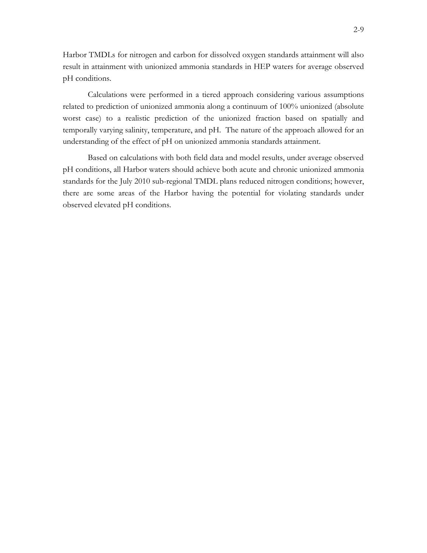Harbor TMDLs for nitrogen and carbon for dissolved oxygen standards attainment will also result in attainment with unionized ammonia standards in HEP waters for average observed pH conditions.

Calculations were performed in a tiered approach considering various assumptions related to prediction of unionized ammonia along a continuum of 100% unionized (absolute worst case) to a realistic prediction of the unionized fraction based on spatially and temporally varying salinity, temperature, and pH. The nature of the approach allowed for an understanding of the effect of pH on unionized ammonia standards attainment.

Based on calculations with both field data and model results, under average observed pH conditions, all Harbor waters should achieve both acute and chronic unionized ammonia standards for the July 2010 sub-regional TMDL plans reduced nitrogen conditions; however, there are some areas of the Harbor having the potential for violating standards under observed elevated pH conditions.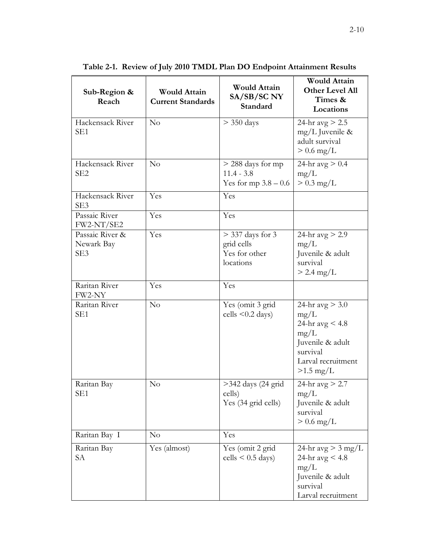| Sub-Region &<br>Reach                | <b>Would Attain</b><br><b>Current Standards</b> | <b>Would Attain</b><br>SA/SB/SC NY<br>Standard                 | <b>Would Attain</b><br><b>Other Level All</b><br>Times &<br>Locations                                                       |
|--------------------------------------|-------------------------------------------------|----------------------------------------------------------------|-----------------------------------------------------------------------------------------------------------------------------|
| Hackensack River<br>SE <sub>1</sub>  | No                                              | $>$ 350 days                                                   | 24-hr $avg > 2.5$<br>$mg/L$ Juvenile &<br>adult survival<br>$> 0.6$ mg/L                                                    |
| Hackensack River<br>SE <sub>2</sub>  | No                                              | $>$ 288 days for mp<br>$11.4 - 3.8$<br>Yes for mp $3.8 - 0.6$  | 24-hr $avg > 0.4$<br>mg/L<br>$> 0.3$ mg/L                                                                                   |
| Hackensack River<br>SE3              | Yes                                             | Yes                                                            |                                                                                                                             |
| Passaic River<br>FW2-NT/SE2          | Yes                                             | Yes                                                            |                                                                                                                             |
| Passaic River &<br>Newark Bay<br>SE3 | Yes                                             | $>$ 337 days for 3<br>grid cells<br>Yes for other<br>locations | 24-hr $avg > 2.9$<br>mg/L<br>Juvenile & adult<br>survival<br>$> 2.4$ mg/L                                                   |
| Raritan River<br>FW2-NY              | Yes                                             | Yes                                                            |                                                                                                                             |
| Raritan River<br>SE <sub>1</sub>     | No                                              | Yes (omit 3 grid<br>cells $\leq 0.2$ days)                     | 24-hr $avg > 3.0$<br>mg/L<br>24-hr $avg < 4.8$<br>mg/L<br>Juvenile & adult<br>survival<br>Larval recruitment<br>$>1.5$ mg/L |
| Raritan Bay<br>SE <sub>1</sub>       | No                                              | $>342$ days (24 grid<br>cells)<br>Yes (34 grid cells)          | 24-hr $avg > 2.7$<br>mg/L<br>Juvenile & adult<br>survival<br>$> 0.6$ mg/L                                                   |
| Raritan Bay I                        | $\rm No$                                        | Yes                                                            |                                                                                                                             |
| Raritan Bay<br>SА                    | Yes (almost)                                    | Yes (omit 2 grid<br>$cells < 0.5 \text{ days}$                 | 24-hr avg $>$ 3 mg/L<br>24-hr $avg < 4.8$<br>mg/L<br>Juvenile & adult<br>survival<br>Larval recruitment                     |

<span id="page-24-0"></span>**Table 2-1. Review of July 2010 TMDL Plan DO Endpoint Attainment Results**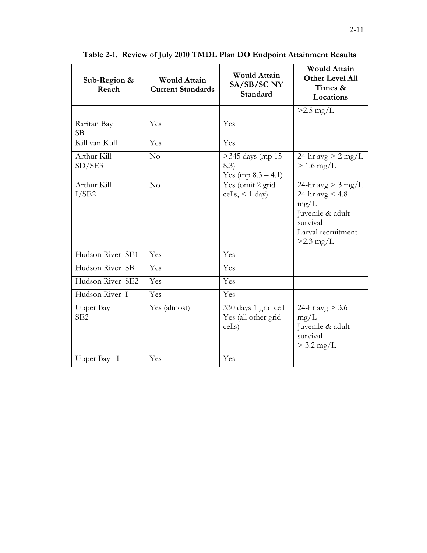| Sub-Region &<br>Reach        | <b>Would Attain</b><br><b>Current Standards</b> | <b>Would Attain</b><br>SA/SB/SC NY<br>Standard        | <b>Would Attain</b><br><b>Other Level All</b><br>Times &<br>Locations                                                  |
|------------------------------|-------------------------------------------------|-------------------------------------------------------|------------------------------------------------------------------------------------------------------------------------|
|                              |                                                 |                                                       | $>2.5$ mg/L                                                                                                            |
| Raritan Bay<br>SB            | Yes                                             | Yes                                                   |                                                                                                                        |
| Kill van Kull                | Yes                                             | Yes                                                   |                                                                                                                        |
| Arthur Kill<br>SD/SE3        | No                                              | $>345$ days (mp 15 -<br>(8.3)<br>Yes $(np 8.3 - 4.1)$ | 24-hr avg $> 2$ mg/L<br>$> 1.6$ mg/L                                                                                   |
| Arthur Kill<br>I/SE2         | No                                              | Yes (omit 2 grid<br>cells, $<$ 1 day)                 | 24-hr avg $>$ 3 mg/L<br>24-hr $avg < 4.8$<br>mg/L<br>Juvenile & adult<br>survival<br>Larval recruitment<br>$>2.3$ mg/L |
| Hudson River SE1             | Yes                                             | Yes                                                   |                                                                                                                        |
| Hudson River SB              | Yes                                             | Yes                                                   |                                                                                                                        |
| Hudson River SE2             | Yes                                             | Yes                                                   |                                                                                                                        |
| Hudson River I               | Yes                                             | Yes                                                   |                                                                                                                        |
| Upper Bay<br>SE <sub>2</sub> | Yes (almost)                                    | 330 days 1 grid cell<br>Yes (all other grid<br>cells) | 24-hr $avg > 3.6$<br>mg/L<br>Juvenile & adult<br>survival<br>$> 3.2 \text{ mg/L}$                                      |
| Upper Bay I                  | Yes                                             | Yes                                                   |                                                                                                                        |

**Table 2-1. Review of July 2010 TMDL Plan DO Endpoint Attainment Results**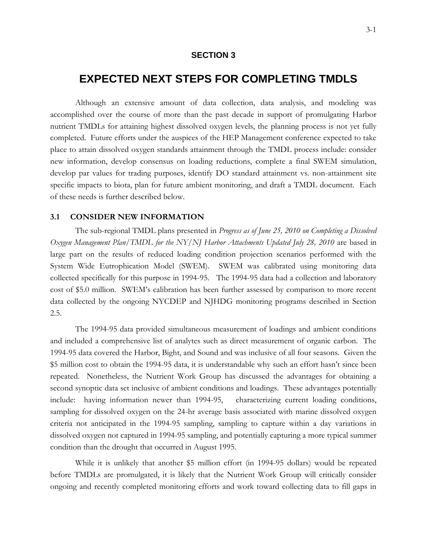### **SECTION 3**

# **3 EXPECTED NEXT STEPS FOR COMPLETING TMDLS**

<span id="page-26-0"></span>Although an extensive amount of data collection, data analysis, and modeling was accomplished over the course of more than the past decade in support of promulgating Harbor nutrient TMDLs for attaining highest dissolved oxygen levels, the planning process is not yet fully completed. Future efforts under the auspices of the HEP Management conference expected to take place to attain dissolved oxygen standards attainment through the TMDL process include: consider new information, develop consensus on loading reductions, complete a final SWEM simulation, develop par values for trading purposes, identify DO standard attainment vs. non-attainment site specific impacts to biota, plan for future ambient monitoring, and draft a TMDL document. Each of these needs is further described below.

### <span id="page-26-1"></span>**3.1 CONSIDER NEW INFORMATION**

The sub-regional TMDL plans presented in *Progress as of June 25, 2010 on Completing a Dissolved Oxygen Management Plan/TMDL for the NY/NJ Harbor Attachments Updated July 28, 2010* are based in large part on the results of reduced loading condition projection scenarios performed with the System Wide Eutrophication Model (SWEM). SWEM was calibrated using monitoring data collected specifically for this purpose in 1994-95. The 1994-95 data had a collection and laboratory cost of \$5.0 million. SWEM's calibration has been further assessed by comparison to more recent data collected by the ongoing NYCDEP and NJHDG monitoring programs described in Section 2.5.

The 1994-95 data provided simultaneous measurement of loadings and ambient conditions and included a comprehensive list of analytes such as direct measurement of organic carbon. The 1994-95 data covered the Harbor, Bight, and Sound and was inclusive of all four seasons. Given the \$5 million cost to obtain the 1994-95 data, it is understandable why such an effort hasn't since been repeated. Nonetheless, the Nutrient Work Group has discussed the advantages for obtaining a second synoptic data set inclusive of ambient conditions and loadings. These advantages potentially include: having information newer than 1994-95, characterizing current loading conditions, sampling for dissolved oxygen on the 24-hr average basis associated with marine dissolved oxygen criteria not anticipated in the 1994-95 sampling, sampling to capture within a day variations in dissolved oxygen not captured in 1994-95 sampling, and potentially capturing a more typical summer condition than the drought that occurred in August 1995.

While it is unlikely that another \$5 million effort (in 1994-95 dollars) would be repeated before TMDLs are promulgated, it is likely that the Nutrient Work Group will critically consider ongoing and recently completed monitoring efforts and work toward collecting data to fill gaps in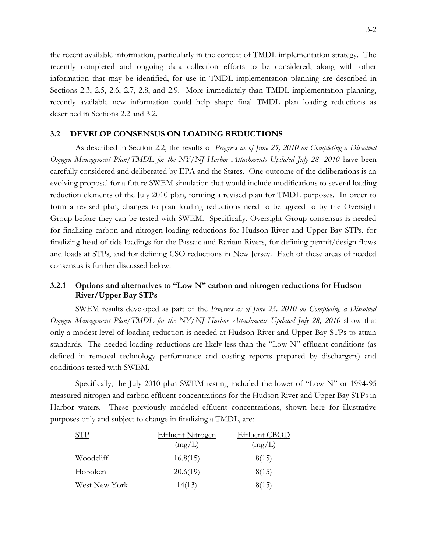the recent available information, particularly in the context of TMDL implementation strategy. The recently completed and ongoing data collection efforts to be considered, along with other information that may be identified, for use in TMDL implementation planning are described in Sections 2.3, 2.5, 2.6, 2.7, 2.8, and 2.9. More immediately than TMDL implementation planning, recently available new information could help shape final TMDL plan loading reductions as described in Sections 2.2 and 3.2.

## <span id="page-27-0"></span>**3.2 DEVELOP CONSENSUS ON LOADING REDUCTIONS**

As described in Section 2.2, the results of *Progress as of June 25, 2010 on Completing a Dissolved Oxygen Management Plan/TMDL for the NY/NJ Harbor Attachments Updated July 28, 2010* have been carefully considered and deliberated by EPA and the States. One outcome of the deliberations is an evolving proposal for a future SWEM simulation that would include modifications to several loading reduction elements of the July 2010 plan, forming a revised plan for TMDL purposes. In order to form a revised plan, changes to plan loading reductions need to be agreed to by the Oversight Group before they can be tested with SWEM. Specifically, Oversight Group consensus is needed for finalizing carbon and nitrogen loading reductions for Hudson River and Upper Bay STPs, for finalizing head-of-tide loadings for the Passaic and Raritan Rivers, for defining permit/design flows and loads at STPs, and for defining CSO reductions in New Jersey. Each of these areas of needed consensus is further discussed below.

## <span id="page-27-1"></span>**3.2.1 Options and alternatives to "Low N" carbon and nitrogen reductions for Hudson River/Upper Bay STPs**

SWEM results developed as part of the *Progress as of June 25, 2010 on Completing a Dissolved Oxygen Management Plan/TMDL for the NY/NJ Harbor Attachments Updated July 28, 2010* show that only a modest level of loading reduction is needed at Hudson River and Upper Bay STPs to attain standards. The needed loading reductions are likely less than the "Low  $N$ " effluent conditions (as defined in removal technology performance and costing reports prepared by dischargers) and conditions tested with SWEM.

Specifically, the July 2010 plan SWEM testing included the lower of "Low N" or 1994-95 measured nitrogen and carbon effluent concentrations for the Hudson River and Upper Bay STPs in Harbor waters. These previously modeled effluent concentrations, shown here for illustrative purposes only and subject to change in finalizing a TMDL, are:

|               | <b>Effluent Nitrogen</b> | Effluent CBOD |
|---------------|--------------------------|---------------|
|               | (mg/L)                   | (mg/L)        |
| Woodcliff     | 16.8(15)                 | 8(15)         |
| Hoboken       | 20.6(19)                 | 8(15)         |
| West New York | 14(13)                   | 8(15)         |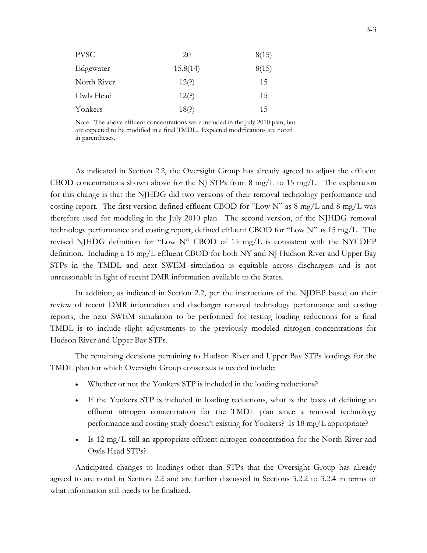| <b>PVSC</b> | <b>20</b> | 8(15) |
|-------------|-----------|-------|
| Edgewater   | 15.8(14)  | 8(15) |
| North River | 12(?)     | 15    |
| Owls Head   | 12(?)     | 15    |
| Yonkers     | 18(?)     | 15    |

Note: The above effluent concentrations were included in the July 2010 plan, but are expected to be modified in a final TMDL. Expected modifications are noted in parentheses.

As indicated in Section 2.2, the Oversight Group has already agreed to adjust the effluent CBOD concentrations shown above for the NJ STPs from 8 mg/L to 15 mg/L. The explanation for this change is that the NJHDG did two versions of their removal technology performance and costing report. The first version defined effluent CBOD for "Low N" as  $8 \text{ mg/L}$  and  $8 \text{ mg/L}$  was therefore used for modeling in the July 2010 plan. The second version, of the NJHDG removal technology performance and costing report, defined effluent CBOD for "Low N" as 15 mg/L. The revised NJHDG definition for "Low N" CBOD of 15 mg/L is consistent with the NYCDEP definition. Including a 15 mg/L effluent CBOD for both NY and NJ Hudson River and Upper Bay STPs in the TMDL and next SWEM simulation is equitable across dischargers and is not unreasonable in light of recent DMR information available to the States.

In addition, as indicated in Section 2.2, per the instructions of the NJDEP based on their review of recent DMR information and discharger removal technology performance and costing reports, the next SWEM simulation to be performed for testing loading reductions for a final TMDL is to include slight adjustments to the previously modeled nitrogen concentrations for Hudson River and Upper Bay STPs.

The remaining decisions pertaining to Hudson River and Upper Bay STPs loadings for the TMDL plan for which Oversight Group consensus is needed include:

- Whether or not the Yonkers STP is included in the loading reductions?
- If the Yonkers STP is included in loading reductions, what is the basis of defining an effluent nitrogen concentration for the TMDL plan since a removal technology performance and costing study doesn't existing for Yonkers? Is 18 mg/L appropriate?
- $\bullet$  Is 12 mg/L still an appropriate effluent nitrogen concentration for the North River and Owls Head STPs?

Anticipated changes to loadings other than STPs that the Oversight Group has already agreed to are noted in Section 2.2 and are further discussed in Sections 3.2.2 to 3.2.4 in terms of what information still needs to be finalized.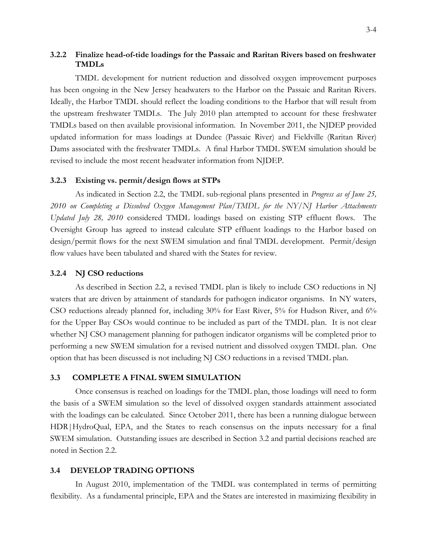## <span id="page-29-0"></span>**3.2.2 Finalize head-of-tide loadings for the Passaic and Raritan Rivers based on freshwater TMDLs**

TMDL development for nutrient reduction and dissolved oxygen improvement purposes has been ongoing in the New Jersey headwaters to the Harbor on the Passaic and Raritan Rivers. Ideally, the Harbor TMDL should reflect the loading conditions to the Harbor that will result from the upstream freshwater TMDLs. The July 2010 plan attempted to account for these freshwater TMDLs based on then available provisional information. In November 2011, the NJDEP provided updated information for mass loadings at Dundee (Passaic River) and Fieldville (Raritan River) Dams associated with the freshwater TMDLs. A final Harbor TMDL SWEM simulation should be revised to include the most recent headwater information from NJDEP.

#### <span id="page-29-1"></span>**3.2.3 Existing vs. permit/design flows at STPs**

As indicated in Section 2.2, the TMDL sub-regional plans presented in *Progress as of June 25, 2010 on Completing a Dissolved Oxygen Management Plan/TMDL for the NY/NJ Harbor Attachments Updated July 28, 2010* considered TMDL loadings based on existing STP effluent flows. The Oversight Group has agreed to instead calculate STP effluent loadings to the Harbor based on design/permit flows for the next SWEM simulation and final TMDL development. Permit/design flow values have been tabulated and shared with the States for review.

#### <span id="page-29-2"></span>**3.2.4 NJ CSO reductions**

As described in Section 2.2, a revised TMDL plan is likely to include CSO reductions in NJ waters that are driven by attainment of standards for pathogen indicator organisms. In NY waters, CSO reductions already planned for, including 30% for East River, 5% for Hudson River, and 6% for the Upper Bay CSOs would continue to be included as part of the TMDL plan. It is not clear whether NJ CSO management planning for pathogen indicator organisms will be completed prior to performing a new SWEM simulation for a revised nutrient and dissolved oxygen TMDL plan. One option that has been discussed is not including NJ CSO reductions in a revised TMDL plan.

#### <span id="page-29-3"></span>**3.3 COMPLETE A FINAL SWEM SIMULATION**

Once consensus is reached on loadings for the TMDL plan, those loadings will need to form the basis of a SWEM simulation so the level of dissolved oxygen standards attainment associated with the loadings can be calculated. Since October 2011, there has been a running dialogue between HDR|HydroQual, EPA, and the States to reach consensus on the inputs necessary for a final SWEM simulation. Outstanding issues are described in Section 3.2 and partial decisions reached are noted in Section 2.2.

#### <span id="page-29-4"></span>**3.4 DEVELOP TRADING OPTIONS**

In August 2010, implementation of the TMDL was contemplated in terms of permitting flexibility. As a fundamental principle, EPA and the States are interested in maximizing flexibility in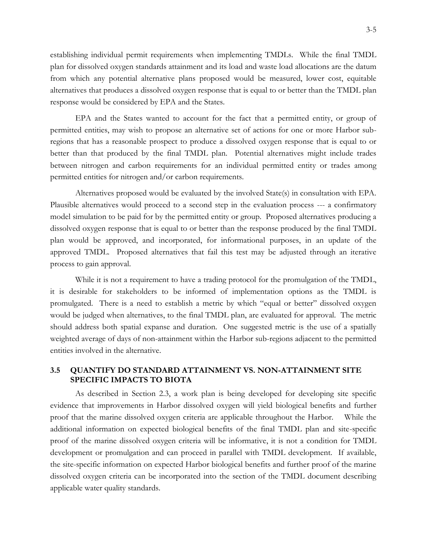establishing individual permit requirements when implementing TMDLs. While the final TMDL plan for dissolved oxygen standards attainment and its load and waste load allocations are the datum from which any potential alternative plans proposed would be measured, lower cost, equitable alternatives that produces a dissolved oxygen response that is equal to or better than the TMDL plan response would be considered by EPA and the States.

EPA and the States wanted to account for the fact that a permitted entity, or group of permitted entities, may wish to propose an alternative set of actions for one or more Harbor subregions that has a reasonable prospect to produce a dissolved oxygen response that is equal to or better than that produced by the final TMDL plan. Potential alternatives might include trades between nitrogen and carbon requirements for an individual permitted entity or trades among permitted entities for nitrogen and/or carbon requirements.

Alternatives proposed would be evaluated by the involved State(s) in consultation with EPA. Plausible alternatives would proceed to a second step in the evaluation process --- a confirmatory model simulation to be paid for by the permitted entity or group. Proposed alternatives producing a dissolved oxygen response that is equal to or better than the response produced by the final TMDL plan would be approved, and incorporated, for informational purposes, in an update of the approved TMDL. Proposed alternatives that fail this test may be adjusted through an iterative process to gain approval.

While it is not a requirement to have a trading protocol for the promulgation of the TMDL, it is desirable for stakeholders to be informed of implementation options as the TMDL is promulgated. There is a need to establish a metric by which "equal or better" dissolved oxygen would be judged when alternatives, to the final TMDL plan, are evaluated for approval. The metric should address both spatial expanse and duration. One suggested metric is the use of a spatially weighted average of days of non-attainment within the Harbor sub-regions adjacent to the permitted entities involved in the alternative.

## <span id="page-30-0"></span>**3.5 QUANTIFY DO STANDARD ATTAINMENT VS. NON-ATTAINMENT SITE SPECIFIC IMPACTS TO BIOTA**

As described in Section 2.3, a work plan is being developed for developing site specific evidence that improvements in Harbor dissolved oxygen will yield biological benefits and further proof that the marine dissolved oxygen criteria are applicable throughout the Harbor. While the additional information on expected biological benefits of the final TMDL plan and site-specific proof of the marine dissolved oxygen criteria will be informative, it is not a condition for TMDL development or promulgation and can proceed in parallel with TMDL development. If available, the site-specific information on expected Harbor biological benefits and further proof of the marine dissolved oxygen criteria can be incorporated into the section of the TMDL document describing applicable water quality standards.